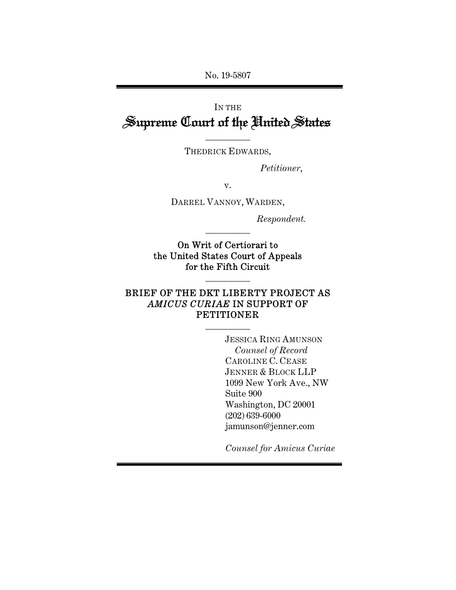No. 19-5807

# IN THE Supreme Court of the United States

 $\overline{\phantom{a}}$  , where  $\overline{\phantom{a}}$ THEDRICK EDWARDS,

*Petitioner*,

v.

DARREL VANNOY, WARDEN,

*Respondent.* 

On Writ of Certiorari to the United States Court of Appeals for the Fifth Circuit

 $\overline{\phantom{a}}$  , where  $\overline{\phantom{a}}$ 

 $\overline{\phantom{a}}$  , where  $\overline{\phantom{a}}$ 

## BRIEF OF THE DKT LIBERTY PROJECT AS *AMICUS CURIAE* IN SUPPORT OF PETITIONER

 $\overline{\phantom{a}}$  , where  $\overline{\phantom{a}}$ 

JESSICA RING AMUNSON *Counsel of Record*  CAROLINE C. CEASE JENNER & BLOCK LLP 1099 New York Ave., NW Suite 900 Washington, DC 20001 (202) 639-6000 jamunson@jenner.com

*Counsel for Amicus Curiae*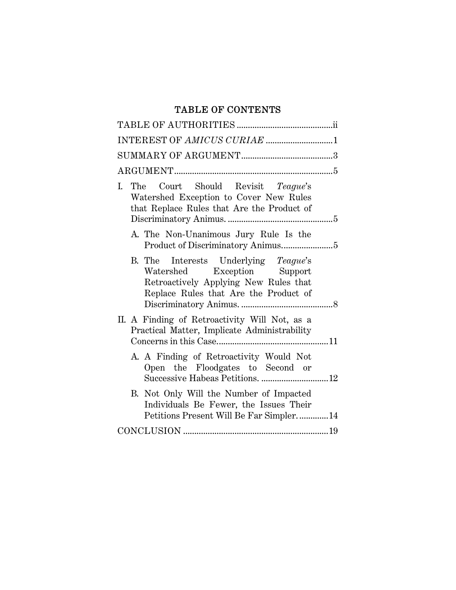## TABLE OF CONTENTS

| INTEREST OF AMICUS CURIAE 1                                                                                                                           |
|-------------------------------------------------------------------------------------------------------------------------------------------------------|
|                                                                                                                                                       |
|                                                                                                                                                       |
| I. The Court Should Revisit Teague's<br>Watershed Exception to Cover New Rules<br>that Replace Rules that Are the Product of                          |
| A. The Non-Unanimous Jury Rule Is the                                                                                                                 |
| B. The Interests Underlying Teague's<br>Watershed Exception Support<br>Retroactively Applying New Rules that<br>Replace Rules that Are the Product of |
| II. A Finding of Retroactivity Will Not, as a<br>Practical Matter, Implicate Administrability                                                         |
| A. A Finding of Retroactivity Would Not<br>Open the Floodgates to Second or<br>Successive Habeas Petitions. 12                                        |
| B. Not Only Will the Number of Impacted<br>Individuals Be Fewer, the Issues Their<br>Petitions Present Will Be Far Simpler14                          |
|                                                                                                                                                       |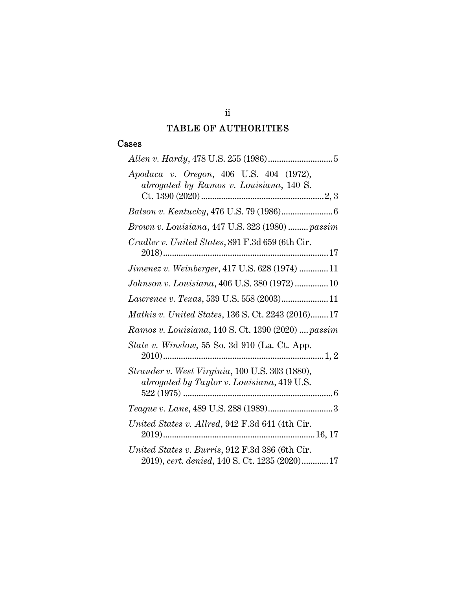## TABLE OF AUTHORITIES

### Cases

| Apodaca v. Oregon, 406 U.S. 404 (1972),<br>abrogated by Ramos v. Louisiana, 140 S.               |
|--------------------------------------------------------------------------------------------------|
|                                                                                                  |
| Brown v. Louisiana, 447 U.S. 323 (1980)  passim                                                  |
| Cradler v. United States, 891 F.3d 659 (6th Cir.                                                 |
| <i>Jimenez v. Weinberger</i> , 417 U.S. 628 (1974) 11                                            |
| Johnson v. Louisiana, 406 U.S. 380 (1972)10                                                      |
| Lawrence v. Texas, 539 U.S. 558 (2003)11                                                         |
| Mathis v. United States, 136 S. Ct. 2243 (2016)17                                                |
| Ramos v. Louisiana, 140 S. Ct. 1390 (2020)  passim                                               |
| <i>State v. Winslow</i> , 55 So. 3d 910 (La. Ct. App.                                            |
| Strauder v. West Virginia, 100 U.S. 303 (1880),<br>abrogated by Taylor v. Louisiana, 419 U.S.    |
|                                                                                                  |
| United States v. Allred, 942 F.3d 641 (4th Cir.                                                  |
| United States v. Burris, 912 F.3d 386 (6th Cir.<br>2019), cert. denied, 140 S. Ct. 1235 (2020)17 |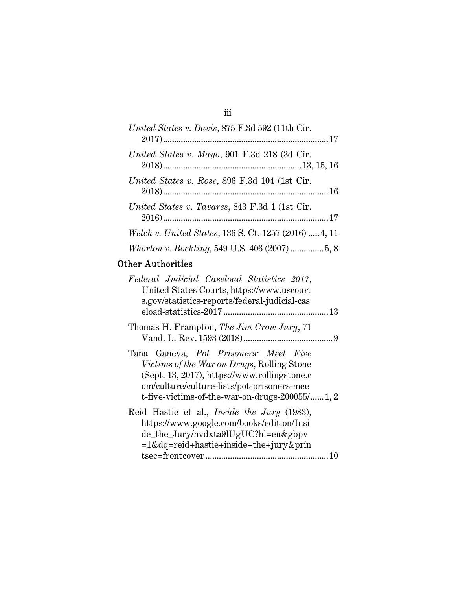## iii

| United States v. Davis, 875 F.3d 592 (11th Cir.       |
|-------------------------------------------------------|
| United States v. Mayo, 901 F.3d 218 (3d Cir.          |
| United States v. Rose, 896 F.3d 104 (1st Cir.         |
| United States v. Tavares, 843 F.3d 1 (1st Cir.        |
| Welch v. United States, 136 S. Ct. 1257 (2016)  4, 11 |
|                                                       |
|                                                       |

# Other Authorities

| Federal Judicial Caseload Statistics 2017,<br>United States Courts, https://www.uscourt<br>s.gov/statistics-reports/federal-judicial-cas                                                                                                        |  |
|-------------------------------------------------------------------------------------------------------------------------------------------------------------------------------------------------------------------------------------------------|--|
| Thomas H. Frampton, The Jim Crow Jury, 71                                                                                                                                                                                                       |  |
| Tana Ganeva, Pot Prisoners: Meet Five<br><i>Victims of the War on Drugs</i> , Rolling Stone<br>(Sept. 13, 2017), https://www.rollingstone.c<br>om/culture/culture-lists/pot-prisoners-mee<br>t-five-victims-of-the-war-on-drugs- $200055/$ 1, 2 |  |
| Reid Hastie et al., <i>Inside the Jury</i> (1983),<br>https://www.google.com/books/edition/Insi<br>de_the_Jury/nvdxta9lUgUC?hl=en&gbpv<br>=1&dq=reid+hastie+inside+the+jury&prin                                                                |  |
|                                                                                                                                                                                                                                                 |  |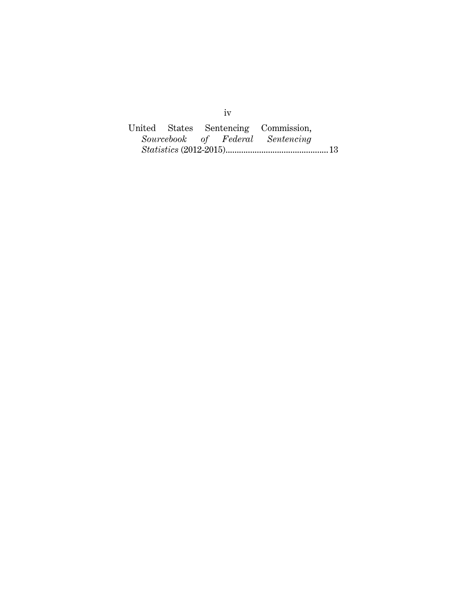|  |  | United States Sentencing Commission, |  |
|--|--|--------------------------------------|--|
|  |  | Sourcebook of Federal Sentencing     |  |
|  |  |                                      |  |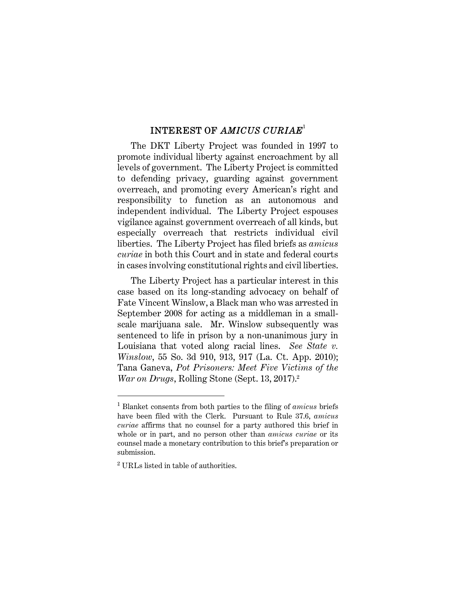## INTEREST OF *AMICUS CURIAE*<sup>1</sup>

The DKT Liberty Project was founded in 1997 to promote individual liberty against encroachment by all levels of government. The Liberty Project is committed to defending privacy, guarding against government overreach, and promoting every American's right and responsibility to function as an autonomous and independent individual. The Liberty Project espouses vigilance against government overreach of all kinds, but especially overreach that restricts individual civil liberties. The Liberty Project has filed briefs as *amicus curiae* in both this Court and in state and federal courts in cases involving constitutional rights and civil liberties.

The Liberty Project has a particular interest in this case based on its long-standing advocacy on behalf of Fate Vincent Winslow, a Black man who was arrested in September 2008 for acting as a middleman in a smallscale marijuana sale. Mr. Winslow subsequently was sentenced to life in prison by a non-unanimous jury in Louisiana that voted along racial lines. *See State v. Winslow*, 55 So. 3d 910, 913, 917 (La. Ct. App. 2010); Tana Ganeva, *Pot Prisoners: Meet Five Victims of the War on Drugs*, Rolling Stone (Sept. 13, 2017).<sup>2</sup>

<sup>1</sup> Blanket consents from both parties to the filing of *amicus* briefs have been filed with the Clerk. Pursuant to Rule 37.6, *amicus curiae* affirms that no counsel for a party authored this brief in whole or in part, and no person other than *amicus curiae* or its counsel made a monetary contribution to this brief's preparation or submission.

<sup>2</sup> URLs listed in table of authorities.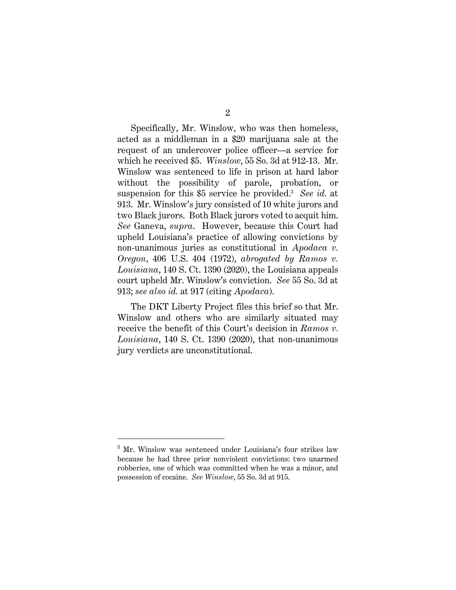Specifically, Mr. Winslow, who was then homeless, acted as a middleman in a \$20 marijuana sale at the request of an undercover police officer—a service for which he received \$5. *Winslow*, 55 So. 3d at 912-13. Mr. Winslow was sentenced to life in prison at hard labor without the possibility of parole, probation, or suspension for this \$5 service he provided.<sup>3</sup> *See id.* at 913. Mr. Winslow's jury consisted of 10 white jurors and two Black jurors. Both Black jurors voted to acquit him. *See* Ganeva, *supra*. However, because this Court had upheld Louisiana's practice of allowing convictions by non-unanimous juries as constitutional in *Apodaca v. Oregon*, 406 U.S. 404 (1972), *abrogated by Ramos v. Louisiana*, 140 S. Ct. 1390 (2020), the Louisiana appeals court upheld Mr. Winslow's conviction. *See* 55 So. 3d at 913; *see also id.* at 917 (citing *Apodaca*).

The DKT Liberty Project files this brief so that Mr. Winslow and others who are similarly situated may receive the benefit of this Court's decision in *Ramos v. Louisiana*, 140 S. Ct. 1390 (2020), that non-unanimous jury verdicts are unconstitutional.

<sup>3</sup> Mr. Winslow was sentenced under Louisiana's four strikes law because he had three prior nonviolent convictions: two unarmed robberies, one of which was committed when he was a minor, and possession of cocaine. *See Winslow*, 55 So. 3d at 915.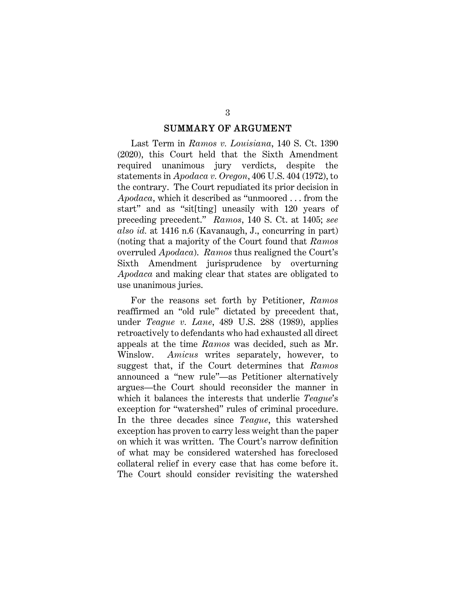#### SUMMARY OF ARGUMENT

Last Term in *Ramos v. Louisiana*, 140 S. Ct. 1390 (2020), this Court held that the Sixth Amendment required unanimous jury verdicts, despite the statements in *Apodaca v. Oregon*, 406 U.S. 404 (1972), to the contrary. The Court repudiated its prior decision in *Apodaca*, which it described as "unmoored . . . from the start" and as "sit[ting] uneasily with 120 years of preceding precedent." *Ramos*, 140 S. Ct. at 1405; *see also id.* at 1416 n.6 (Kavanaugh, J., concurring in part) (noting that a majority of the Court found that *Ramos* overruled *Apodaca*). *Ramos* thus realigned the Court's Sixth Amendment jurisprudence by overturning *Apodaca* and making clear that states are obligated to use unanimous juries.

For the reasons set forth by Petitioner, *Ramos* reaffirmed an "old rule" dictated by precedent that, under *Teague v. Lane*, 489 U.S. 288 (1989), applies retroactively to defendants who had exhausted all direct appeals at the time *Ramos* was decided, such as Mr. Winslow. *Amicus* writes separately, however, to suggest that, if the Court determines that *Ramos* announced a "new rule"—as Petitioner alternatively argues—the Court should reconsider the manner in which it balances the interests that underlie *Teague*'s exception for "watershed" rules of criminal procedure. In the three decades since *Teague*, this watershed exception has proven to carry less weight than the paper on which it was written. The Court's narrow definition of what may be considered watershed has foreclosed collateral relief in every case that has come before it. The Court should consider revisiting the watershed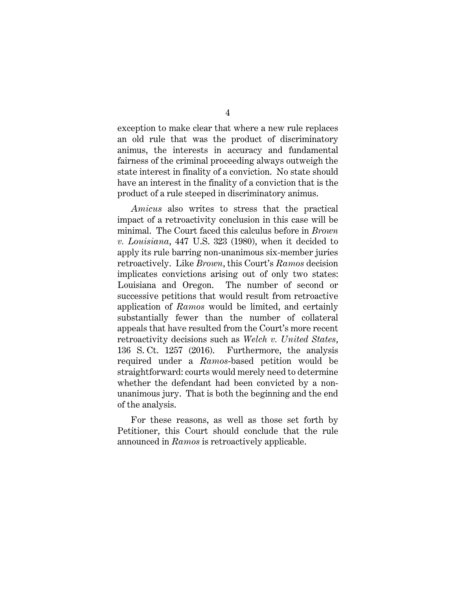exception to make clear that where a new rule replaces an old rule that was the product of discriminatory animus, the interests in accuracy and fundamental fairness of the criminal proceeding always outweigh the state interest in finality of a conviction. No state should have an interest in the finality of a conviction that is the product of a rule steeped in discriminatory animus.

*Amicus* also writes to stress that the practical impact of a retroactivity conclusion in this case will be minimal. The Court faced this calculus before in *Brown v. Louisiana*, 447 U.S. 323 (1980), when it decided to apply its rule barring non-unanimous six-member juries retroactively. Like *Brown*, this Court's *Ramos* decision implicates convictions arising out of only two states: Louisiana and Oregon. The number of second or successive petitions that would result from retroactive application of *Ramos* would be limited, and certainly substantially fewer than the number of collateral appeals that have resulted from the Court's more recent retroactivity decisions such as *Welch v. United States*, 136 S. Ct. 1257 (2016). Furthermore, the analysis required under a *Ramos*-based petition would be straightforward: courts would merely need to determine whether the defendant had been convicted by a nonunanimous jury. That is both the beginning and the end of the analysis.

For these reasons, as well as those set forth by Petitioner, this Court should conclude that the rule announced in *Ramos* is retroactively applicable.

4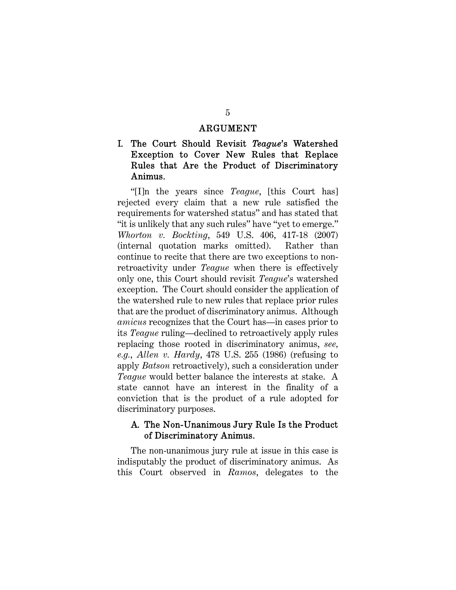#### ARGUMENT

## I. The Court Should Revisit *Teague*'s Watershed Exception to Cover New Rules that Replace Rules that Are the Product of Discriminatory Animus.

"[I]n the years since *Teague*, [this Court has] rejected every claim that a new rule satisfied the requirements for watershed status" and has stated that "it is unlikely that any such rules" have "yet to emerge." *Whorton v. Bockting*, 549 U.S. 406, 417-18 (2007) (internal quotation marks omitted). Rather than continue to recite that there are two exceptions to nonretroactivity under *Teague* when there is effectively only one, this Court should revisit *Teague*'s watershed exception. The Court should consider the application of the watershed rule to new rules that replace prior rules that are the product of discriminatory animus. Although *amicus* recognizes that the Court has—in cases prior to its *Teague* ruling—declined to retroactively apply rules replacing those rooted in discriminatory animus, *see, e.g.*, *Allen v. Hardy*, 478 U.S. 255 (1986) (refusing to apply *Batson* retroactively), such a consideration under *Teague* would better balance the interests at stake. A state cannot have an interest in the finality of a conviction that is the product of a rule adopted for discriminatory purposes.

### A. The Non-Unanimous Jury Rule Is the Product of Discriminatory Animus.

The non-unanimous jury rule at issue in this case is indisputably the product of discriminatory animus. As this Court observed in *Ramos*, delegates to the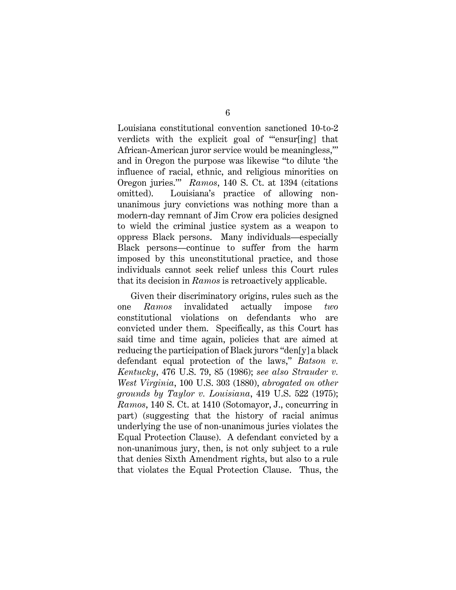Louisiana constitutional convention sanctioned 10-to-2 verdicts with the explicit goal of "'ensur[ing] that African-American juror service would be meaningless,'" and in Oregon the purpose was likewise "to dilute 'the influence of racial, ethnic, and religious minorities on Oregon juries.'" *Ramos*, 140 S. Ct. at 1394 (citations omitted). Louisiana's practice of allowing nonunanimous jury convictions was nothing more than a modern-day remnant of Jim Crow era policies designed to wield the criminal justice system as a weapon to oppress Black persons. Many individuals—especially Black persons—continue to suffer from the harm imposed by this unconstitutional practice, and those individuals cannot seek relief unless this Court rules that its decision in *Ramos* is retroactively applicable.

Given their discriminatory origins, rules such as the one *Ramos* invalidated actually impose *two* constitutional violations on defendants who are convicted under them. Specifically, as this Court has said time and time again, policies that are aimed at reducing the participation of Black jurors "den[y] a black defendant equal protection of the laws," *Batson v. Kentucky*, 476 U.S. 79, 85 (1986); *see also Strauder v. West Virginia*, 100 U.S. 303 (1880), *abrogated on other grounds by Taylor v. Louisiana*, 419 U.S. 522 (1975); *Ramos*, 140 S. Ct. at 1410 (Sotomayor, J., concurring in part) (suggesting that the history of racial animus underlying the use of non-unanimous juries violates the Equal Protection Clause). A defendant convicted by a non-unanimous jury, then, is not only subject to a rule that denies Sixth Amendment rights, but also to a rule that violates the Equal Protection Clause. Thus, the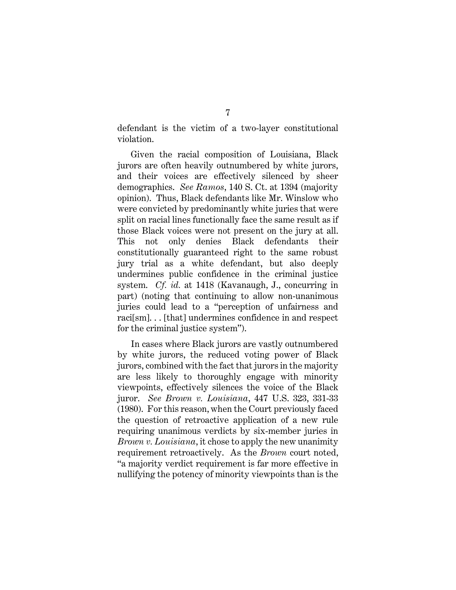defendant is the victim of a two-layer constitutional violation.

Given the racial composition of Louisiana, Black jurors are often heavily outnumbered by white jurors, and their voices are effectively silenced by sheer demographics. *See Ramos*, 140 S. Ct. at 1394 (majority opinion). Thus, Black defendants like Mr. Winslow who were convicted by predominantly white juries that were split on racial lines functionally face the same result as if those Black voices were not present on the jury at all. This not only denies Black defendants their constitutionally guaranteed right to the same robust jury trial as a white defendant, but also deeply undermines public confidence in the criminal justice system. *Cf. id.* at 1418 (Kavanaugh, J., concurring in part) (noting that continuing to allow non-unanimous juries could lead to a "perception of unfairness and raci[sm]. . . [that] undermines confidence in and respect for the criminal justice system").

In cases where Black jurors are vastly outnumbered by white jurors, the reduced voting power of Black jurors, combined with the fact that jurors in the majority are less likely to thoroughly engage with minority viewpoints, effectively silences the voice of the Black juror. *See Brown v. Louisiana*, 447 U.S. 323, 331-33 (1980). For this reason, when the Court previously faced the question of retroactive application of a new rule requiring unanimous verdicts by six-member juries in *Brown v. Louisiana*, it chose to apply the new unanimity requirement retroactively. As the *Brown* court noted, "a majority verdict requirement is far more effective in nullifying the potency of minority viewpoints than is the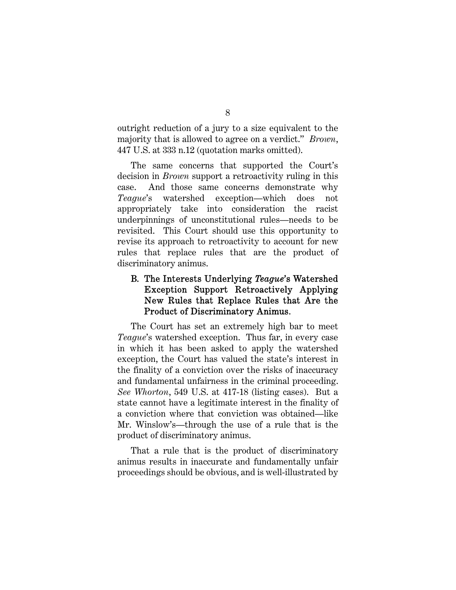outright reduction of a jury to a size equivalent to the majority that is allowed to agree on a verdict." *Brown*, 447 U.S. at 333 n.12 (quotation marks omitted).

The same concerns that supported the Court's decision in *Brown* support a retroactivity ruling in this case. And those same concerns demonstrate why *Teague*'s watershed exception—which does not appropriately take into consideration the racist underpinnings of unconstitutional rules—needs to be revisited. This Court should use this opportunity to revise its approach to retroactivity to account for new rules that replace rules that are the product of discriminatory animus.

## B. The Interests Underlying *Teague*'s Watershed Exception Support Retroactively Applying New Rules that Replace Rules that Are the Product of Discriminatory Animus.

The Court has set an extremely high bar to meet *Teague*'s watershed exception. Thus far, in every case in which it has been asked to apply the watershed exception, the Court has valued the state's interest in the finality of a conviction over the risks of inaccuracy and fundamental unfairness in the criminal proceeding. *See Whorton*, 549 U.S. at 417-18 (listing cases). But a state cannot have a legitimate interest in the finality of a conviction where that conviction was obtained—like Mr. Winslow's—through the use of a rule that is the product of discriminatory animus.

That a rule that is the product of discriminatory animus results in inaccurate and fundamentally unfair proceedings should be obvious, and is well-illustrated by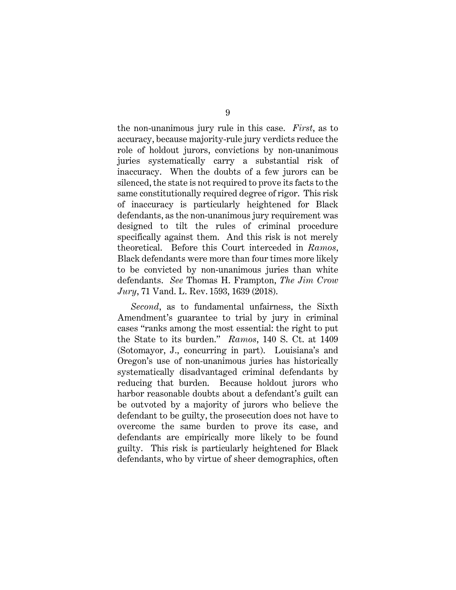the non-unanimous jury rule in this case. *First*, as to accuracy, because majority-rule jury verdicts reduce the role of holdout jurors, convictions by non-unanimous juries systematically carry a substantial risk of inaccuracy. When the doubts of a few jurors can be silenced, the state is not required to prove its facts to the same constitutionally required degree of rigor. This risk of inaccuracy is particularly heightened for Black defendants, as the non-unanimous jury requirement was designed to tilt the rules of criminal procedure specifically against them. And this risk is not merely theoretical. Before this Court interceded in *Ramos*, Black defendants were more than four times more likely to be convicted by non-unanimous juries than white defendants. *See* Thomas H. Frampton, *The Jim Crow Jury*, 71 Vand. L. Rev. 1593, 1639 (2018).

*Second*, as to fundamental unfairness, the Sixth Amendment's guarantee to trial by jury in criminal cases "ranks among the most essential: the right to put the State to its burden." *Ramos*, 140 S. Ct. at 1409 (Sotomayor, J., concurring in part). Louisiana's and Oregon's use of non-unanimous juries has historically systematically disadvantaged criminal defendants by reducing that burden. Because holdout jurors who harbor reasonable doubts about a defendant's guilt can be outvoted by a majority of jurors who believe the defendant to be guilty, the prosecution does not have to overcome the same burden to prove its case, and defendants are empirically more likely to be found guilty. This risk is particularly heightened for Black defendants, who by virtue of sheer demographics, often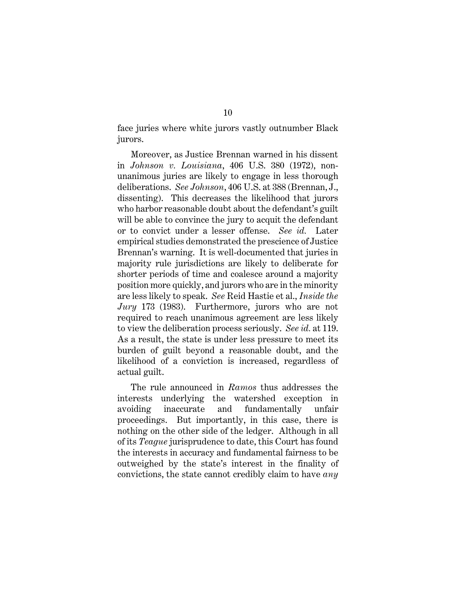face juries where white jurors vastly outnumber Black jurors.

Moreover, as Justice Brennan warned in his dissent in *Johnson v. Louisiana*, 406 U.S. 380 (1972), nonunanimous juries are likely to engage in less thorough deliberations. *See Johnson*, 406 U.S. at 388 (Brennan, J., dissenting). This decreases the likelihood that jurors who harbor reasonable doubt about the defendant's guilt will be able to convince the jury to acquit the defendant or to convict under a lesser offense. *See id.* Later empirical studies demonstrated the prescience of Justice Brennan's warning. It is well-documented that juries in majority rule jurisdictions are likely to deliberate for shorter periods of time and coalesce around a majority position more quickly, and jurors who are in the minority are less likely to speak. *See* Reid Hastie et al., *Inside the Jury* 173 (1983). Furthermore, jurors who are not required to reach unanimous agreement are less likely to view the deliberation process seriously. *See id.* at 119. As a result, the state is under less pressure to meet its burden of guilt beyond a reasonable doubt, and the likelihood of a conviction is increased, regardless of actual guilt.

The rule announced in *Ramos* thus addresses the interests underlying the watershed exception in avoiding inaccurate and fundamentally unfair proceedings. But importantly, in this case, there is nothing on the other side of the ledger. Although in all of its *Teague* jurisprudence to date, this Court has found the interests in accuracy and fundamental fairness to be outweighed by the state's interest in the finality of convictions, the state cannot credibly claim to have *any*

10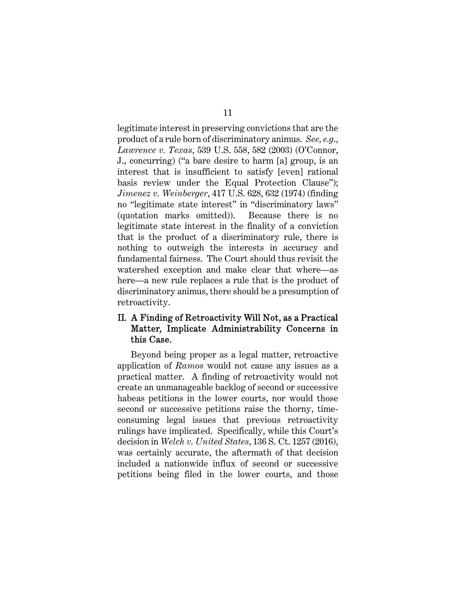legitimate interest in preserving convictions that are the product of a rule born of discriminatory animus. *See, e.g*., *Lawrence v. Texas*, 539 U.S. 558, 582 (2003) (O'Connor, J., concurring) ("a bare desire to harm [a] group, is an interest that is insufficient to satisfy [even] rational basis review under the Equal Protection Clause"); *Jimenez v. Weinberger*, 417 U.S. 628, 632 (1974) (finding no "legitimate state interest" in "discriminatory laws" (quotation marks omitted)). Because there is no legitimate state interest in the finality of a conviction that is the product of a discriminatory rule, there is nothing to outweigh the interests in accuracy and fundamental fairness. The Court should thus revisit the watershed exception and make clear that where—as here—a new rule replaces a rule that is the product of discriminatory animus, there should be a presumption of retroactivity.

## II. A Finding of Retroactivity Will Not, as a Practical Matter, Implicate Administrability Concerns in this Case.

Beyond being proper as a legal matter, retroactive application of *Ramos* would not cause any issues as a practical matter. A finding of retroactivity would not create an unmanageable backlog of second or successive habeas petitions in the lower courts, nor would those second or successive petitions raise the thorny, timeconsuming legal issues that previous retroactivity rulings have implicated. Specifically, while this Court's decision in *Welch v. United States*, 136 S. Ct. 1257 (2016), was certainly accurate, the aftermath of that decision included a nationwide influx of second or successive petitions being filed in the lower courts, and those

11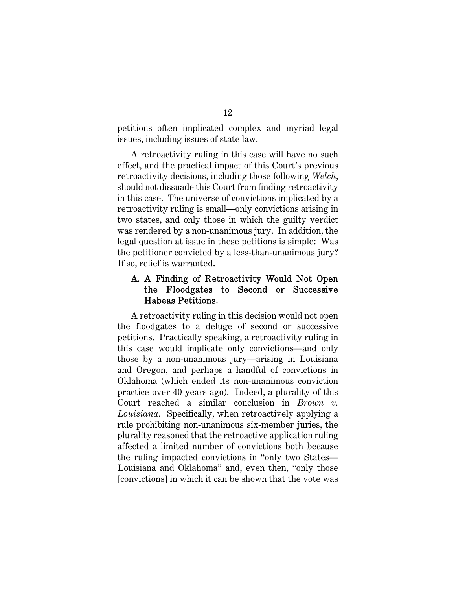petitions often implicated complex and myriad legal issues, including issues of state law.

A retroactivity ruling in this case will have no such effect, and the practical impact of this Court's previous retroactivity decisions, including those following *Welch*, should not dissuade this Court from finding retroactivity in this case. The universe of convictions implicated by a retroactivity ruling is small—only convictions arising in two states, and only those in which the guilty verdict was rendered by a non-unanimous jury. In addition, the legal question at issue in these petitions is simple: Was the petitioner convicted by a less-than-unanimous jury? If so, relief is warranted.

## A. A Finding of Retroactivity Would Not Open the Floodgates to Second or Successive Habeas Petitions.

A retroactivity ruling in this decision would not open the floodgates to a deluge of second or successive petitions. Practically speaking, a retroactivity ruling in this case would implicate only convictions—and only those by a non-unanimous jury—arising in Louisiana and Oregon, and perhaps a handful of convictions in Oklahoma (which ended its non-unanimous conviction practice over 40 years ago). Indeed, a plurality of this Court reached a similar conclusion in *Brown v. Louisiana*. Specifically, when retroactively applying a rule prohibiting non-unanimous six-member juries, the plurality reasoned that the retroactive application ruling affected a limited number of convictions both because the ruling impacted convictions in "only two States— Louisiana and Oklahoma" and, even then, "only those [convictions] in which it can be shown that the vote was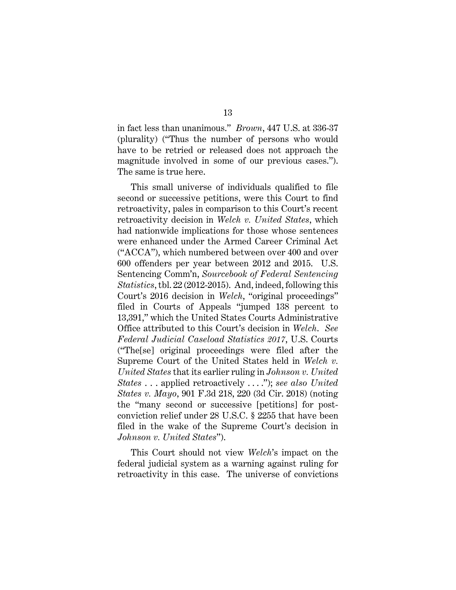in fact less than unanimous." *Brown*, 447 U.S. at 336-37 (plurality) ("Thus the number of persons who would have to be retried or released does not approach the magnitude involved in some of our previous cases."). The same is true here.

This small universe of individuals qualified to file second or successive petitions, were this Court to find retroactivity, pales in comparison to this Court's recent retroactivity decision in *Welch v. United States*, which had nationwide implications for those whose sentences were enhanced under the Armed Career Criminal Act ("ACCA"), which numbered between over 400 and over 600 offenders per year between 2012 and 2015. U.S. Sentencing Comm'n, *Sourcebook of Federal Sentencing Statistics*, tbl. 22 (2012-2015). And, indeed, following this Court's 2016 decision in *Welch*, "original proceedings" filed in Courts of Appeals "jumped 138 percent to 13,391," which the United States Courts Administrative Office attributed to this Court's decision in *Welch*. *See Federal Judicial Caseload Statistics 2017*, U.S. Courts ("The[se] original proceedings were filed after the Supreme Court of the United States held in *Welch v. United States* that its earlier ruling in *Johnson v. United States* . . . applied retroactively . . . ."); *see also United States v. Mayo*, 901 F.3d 218, 220 (3d Cir. 2018) (noting the "many second or successive [petitions] for postconviction relief under 28 U.S.C. § 2255 that have been filed in the wake of the Supreme Court's decision in *Johnson v. United States*").

This Court should not view *Welch*'s impact on the federal judicial system as a warning against ruling for retroactivity in this case. The universe of convictions

13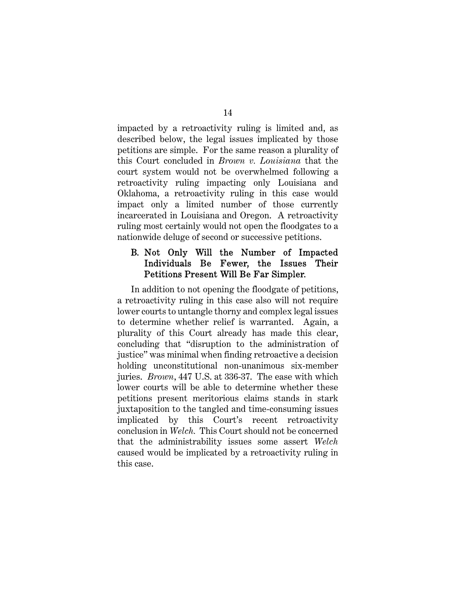impacted by a retroactivity ruling is limited and, as described below, the legal issues implicated by those petitions are simple. For the same reason a plurality of this Court concluded in *Brown v. Louisiana* that the court system would not be overwhelmed following a retroactivity ruling impacting only Louisiana and Oklahoma, a retroactivity ruling in this case would impact only a limited number of those currently incarcerated in Louisiana and Oregon. A retroactivity ruling most certainly would not open the floodgates to a nationwide deluge of second or successive petitions.

## B. Not Only Will the Number of Impacted Individuals Be Fewer, the Issues Their Petitions Present Will Be Far Simpler.

In addition to not opening the floodgate of petitions, a retroactivity ruling in this case also will not require lower courts to untangle thorny and complex legal issues to determine whether relief is warranted. Again, a plurality of this Court already has made this clear, concluding that "disruption to the administration of justice" was minimal when finding retroactive a decision holding unconstitutional non-unanimous six-member juries. *Brown*, 447 U.S. at 336-37. The ease with which lower courts will be able to determine whether these petitions present meritorious claims stands in stark juxtaposition to the tangled and time-consuming issues implicated by this Court's recent retroactivity conclusion in *Welch.* This Court should not be concerned that the administrability issues some assert *Welch* caused would be implicated by a retroactivity ruling in this case.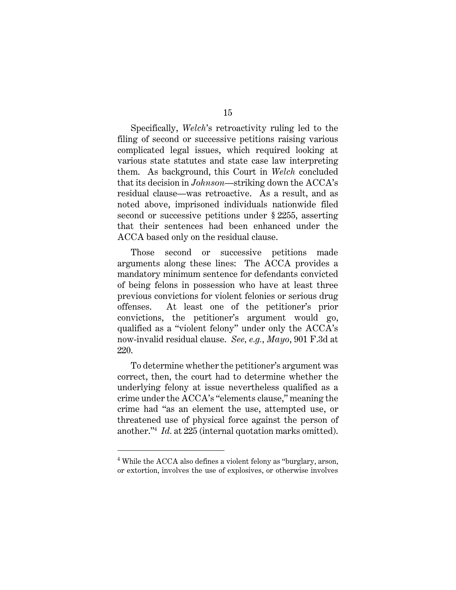Specifically, *Welch*'s retroactivity ruling led to the filing of second or successive petitions raising various complicated legal issues, which required looking at various state statutes and state case law interpreting them. As background, this Court in *Welch* concluded that its decision in *Johnson*—striking down the ACCA's residual clause—was retroactive. As a result, and as noted above, imprisoned individuals nationwide filed second or successive petitions under § 2255, asserting that their sentences had been enhanced under the ACCA based only on the residual clause.

Those second or successive petitions made arguments along these lines: The ACCA provides a mandatory minimum sentence for defendants convicted of being felons in possession who have at least three previous convictions for violent felonies or serious drug offenses. At least one of the petitioner's prior convictions, the petitioner's argument would go, qualified as a "violent felony" under only the ACCA's now-invalid residual clause. *See, e.g.*, *Mayo*, 901 F.3d at 220.

To determine whether the petitioner's argument was correct, then, the court had to determine whether the underlying felony at issue nevertheless qualified as a crime under the ACCA's "elements clause," meaning the crime had "as an element the use, attempted use, or threatened use of physical force against the person of another."<sup>4</sup> *Id.* at 225 (internal quotation marks omitted).

<sup>4</sup> While the ACCA also defines a violent felony as "burglary, arson, or extortion, involves the use of explosives, or otherwise involves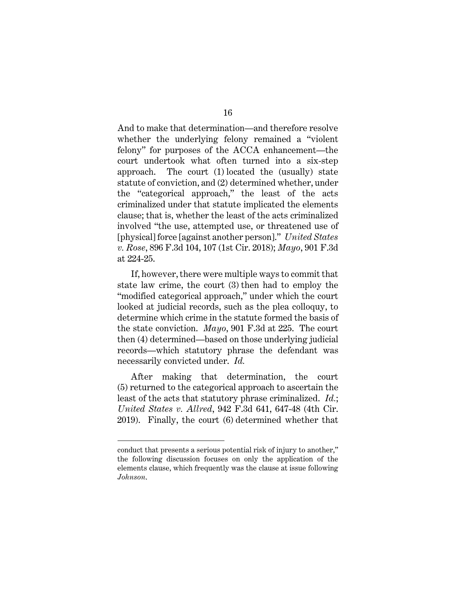And to make that determination—and therefore resolve whether the underlying felony remained a "violent felony" for purposes of the ACCA enhancement—the court undertook what often turned into a six-step approach. The court (1) located the (usually) state statute of conviction, and (2) determined whether, under the "categorical approach," the least of the acts criminalized under that statute implicated the elements clause; that is, whether the least of the acts criminalized involved "the use, attempted use, or threatened use of [physical] force [against another person]." *United States v. Rose*, 896 F.3d 104, 107 (1st Cir. 2018); *Mayo*, 901 F.3d at 224-25.

If, however, there were multiple ways to commit that state law crime, the court (3) then had to employ the "modified categorical approach," under which the court looked at judicial records, such as the plea colloquy, to determine which crime in the statute formed the basis of the state conviction. *Mayo*, 901 F.3d at 225. The court then (4) determined—based on those underlying judicial records—which statutory phrase the defendant was necessarily convicted under. *Id.*

After making that determination, the court (5) returned to the categorical approach to ascertain the least of the acts that statutory phrase criminalized. *Id.*; *United States v. Allred*, 942 F.3d 641, 647-48 (4th Cir. 2019). Finally, the court (6) determined whether that

conduct that presents a serious potential risk of injury to another," the following discussion focuses on only the application of the elements clause, which frequently was the clause at issue following *Johnson*.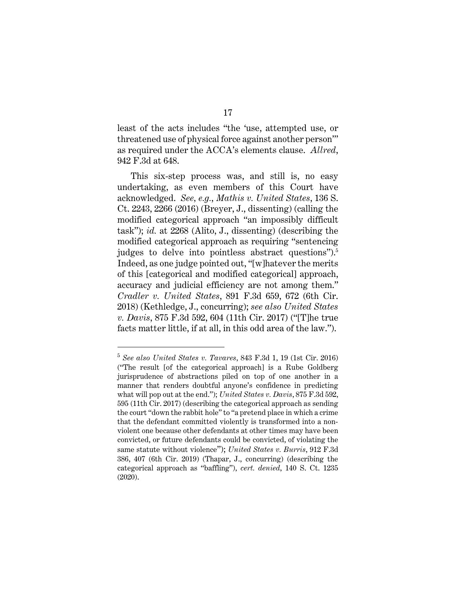least of the acts includes "the 'use, attempted use, or threatened use of physical force against another person'" as required under the ACCA's elements clause. *Allred*, 942 F.3d at 648.

This six-step process was, and still is, no easy undertaking, as even members of this Court have acknowledged. *See, e.g.*, *Mathis v. United States*, 136 S. Ct. 2243, 2266 (2016) (Breyer, J., dissenting) (calling the modified categorical approach "an impossibly difficult task"); *id.* at 2268 (Alito, J., dissenting) (describing the modified categorical approach as requiring "sentencing judges to delve into pointless abstract questions").<sup>5</sup> Indeed, as one judge pointed out, "[w]hatever the merits of this [categorical and modified categorical] approach, accuracy and judicial efficiency are not among them." *Cradler v. United States*, 891 F.3d 659, 672 (6th Cir. 2018) (Kethledge, J., concurring); *see also United States v. Davis*, 875 F.3d 592, 604 (11th Cir. 2017) ("[T]he true facts matter little, if at all, in this odd area of the law.").

<sup>5</sup> *See also United States v. Tavares*, 843 F.3d 1, 19 (1st Cir. 2016) ("The result [of the categorical approach] is a Rube Goldberg jurisprudence of abstractions piled on top of one another in a manner that renders doubtful anyone's confidence in predicting what will pop out at the end."); *United States v. Davis*, 875 F.3d 592, 595 (11th Cir. 2017) (describing the categorical approach as sending the court "down the rabbit hole" to "a pretend place in which a crime that the defendant committed violently is transformed into a nonviolent one because other defendants at other times may have been convicted, or future defendants could be convicted, of violating the same statute without violence"); *United States v. Burris*, 912 F.3d 386, 407 (6th Cir. 2019) (Thapar, J., concurring) (describing the categorical approach as "baffling"), *cert. denied*, 140 S. Ct. 1235 (2020).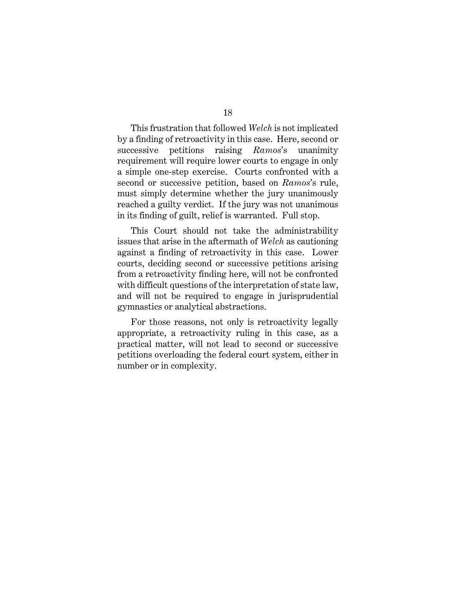This frustration that followed *Welch* is not implicated by a finding of retroactivity in this case. Here, second or successive petitions raising *Ramos*'s unanimity requirement will require lower courts to engage in only a simple one-step exercise. Courts confronted with a second or successive petition, based on *Ramos*'s rule, must simply determine whether the jury unanimously reached a guilty verdict. If the jury was not unanimous in its finding of guilt, relief is warranted. Full stop.

This Court should not take the administrability issues that arise in the aftermath of *Welch* as cautioning against a finding of retroactivity in this case. Lower courts, deciding second or successive petitions arising from a retroactivity finding here, will not be confronted with difficult questions of the interpretation of state law, and will not be required to engage in jurisprudential gymnastics or analytical abstractions.

For those reasons, not only is retroactivity legally appropriate, a retroactivity ruling in this case, as a practical matter, will not lead to second or successive petitions overloading the federal court system, either in number or in complexity.